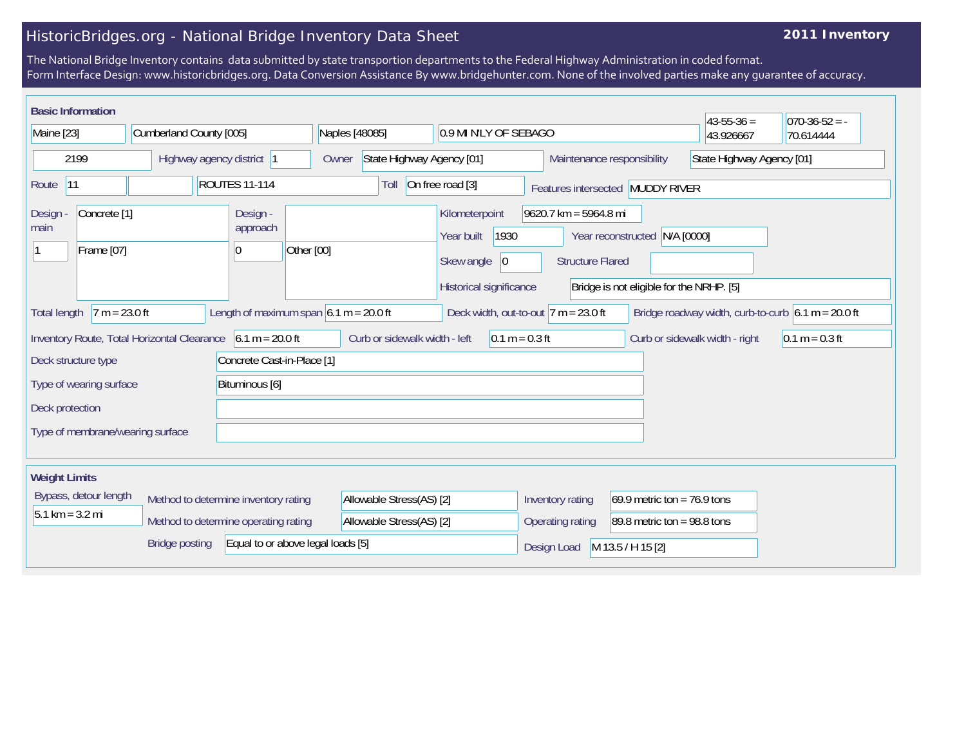## HistoricBridges.org - National Bridge Inventory Data Sheet

## **2011 Inventory**

The National Bridge Inventory contains data submitted by state transportion departments to the Federal Highway Administration in coded format. Form Interface Design: www.historicbridges.org. Data Conversion Assistance By www.bridgehunter.com. None of the involved parties make any guarantee of accuracy.

| <b>Basic Information</b>                                                  |                                                                                                                                                               |                            |                                                              |                                                   |                                                                                              |                                                                                                                                    |                                |                                                         | $43 - 55 - 36 =$ | $ 070-36-52 = -$ |
|---------------------------------------------------------------------------|---------------------------------------------------------------------------------------------------------------------------------------------------------------|----------------------------|--------------------------------------------------------------|---------------------------------------------------|----------------------------------------------------------------------------------------------|------------------------------------------------------------------------------------------------------------------------------------|--------------------------------|---------------------------------------------------------|------------------|------------------|
| Maine [23]                                                                |                                                                                                                                                               | Cumberland County [005]    |                                                              |                                                   | Naples [48085]<br>0.9 MI N'LY OF SEBAGO                                                      |                                                                                                                                    |                                |                                                         | 43.926667        | 70.614444        |
| 2199                                                                      |                                                                                                                                                               | Highway agency district  1 |                                                              | Owner                                             | State Highway Agency [01]                                                                    |                                                                                                                                    |                                | State Highway Agency [01]<br>Maintenance responsibility |                  |                  |
| <b>ROUTES 11-114</b><br> 11<br>Route                                      |                                                                                                                                                               |                            | On free road [3]<br>Toll<br>Features intersected MUDDY RIVER |                                                   |                                                                                              |                                                                                                                                    |                                |                                                         |                  |                  |
| Concrete <sup>[1]</sup><br><b>Design</b><br>main<br>Frame [07]            |                                                                                                                                                               | Design -<br>approach<br>10 | Other [00]                                                   |                                                   | Kilometerpoint<br>1930<br>Year built<br>Skew angle<br>$ 0\rangle$<br>Historical significance | $9620.7$ km = 5964.8 mi<br>N/A [0000]<br>Year reconstructed<br><b>Structure Flared</b><br>Bridge is not eligible for the NRHP. [5] |                                |                                                         |                  |                  |
| <b>Total length</b>                                                       | Length of maximum span $6.1 m = 20.0 ft$<br>$7 m = 23.0 ft$<br>Deck width, out-to-out $7 m = 23.0 ft$<br>Bridge roadway width, curb-to-curb $6.1 m = 20.0 ft$ |                            |                                                              |                                                   |                                                                                              |                                                                                                                                    |                                |                                                         |                  |                  |
| $6.1 m = 20.0 ft$<br>Inventory Route, Total Horizontal Clearance          |                                                                                                                                                               |                            |                                                              | Curb or sidewalk width - left<br>$0.1 m = 0.3 ft$ |                                                                                              |                                                                                                                                    | Curb or sidewalk width - right | $0.1 m = 0.3 ft$                                        |                  |                  |
| Concrete Cast-in-Place [1]<br>Deck structure type                         |                                                                                                                                                               |                            |                                                              |                                                   |                                                                                              |                                                                                                                                    |                                |                                                         |                  |                  |
| Type of wearing surface                                                   |                                                                                                                                                               | Bituminous [6]             |                                                              |                                                   |                                                                                              |                                                                                                                                    |                                |                                                         |                  |                  |
| Deck protection                                                           |                                                                                                                                                               |                            |                                                              |                                                   |                                                                                              |                                                                                                                                    |                                |                                                         |                  |                  |
| Type of membrane/wearing surface                                          |                                                                                                                                                               |                            |                                                              |                                                   |                                                                                              |                                                                                                                                    |                                |                                                         |                  |                  |
| <b>Weight Limits</b>                                                      |                                                                                                                                                               |                            |                                                              |                                                   |                                                                                              |                                                                                                                                    |                                |                                                         |                  |                  |
| Bypass, detour length<br>Method to determine inventory rating             |                                                                                                                                                               |                            | Allowable Stress(AS) [2]                                     |                                                   | 69.9 metric ton = $76.9$ tons<br>Inventory rating                                            |                                                                                                                                    |                                |                                                         |                  |                  |
| $5.1 \text{ km} = 3.2 \text{ mi}$<br>Method to determine operating rating |                                                                                                                                                               |                            | Allowable Stress(AS) [2]                                     |                                                   | Operating rating<br>89.8 metric ton = $98.8$ tons                                            |                                                                                                                                    |                                |                                                         |                  |                  |
| Equal to or above legal loads [5]<br><b>Bridge posting</b>                |                                                                                                                                                               |                            |                                                              |                                                   |                                                                                              | M 13.5 / H 15 [2]<br>Design Load                                                                                                   |                                |                                                         |                  |                  |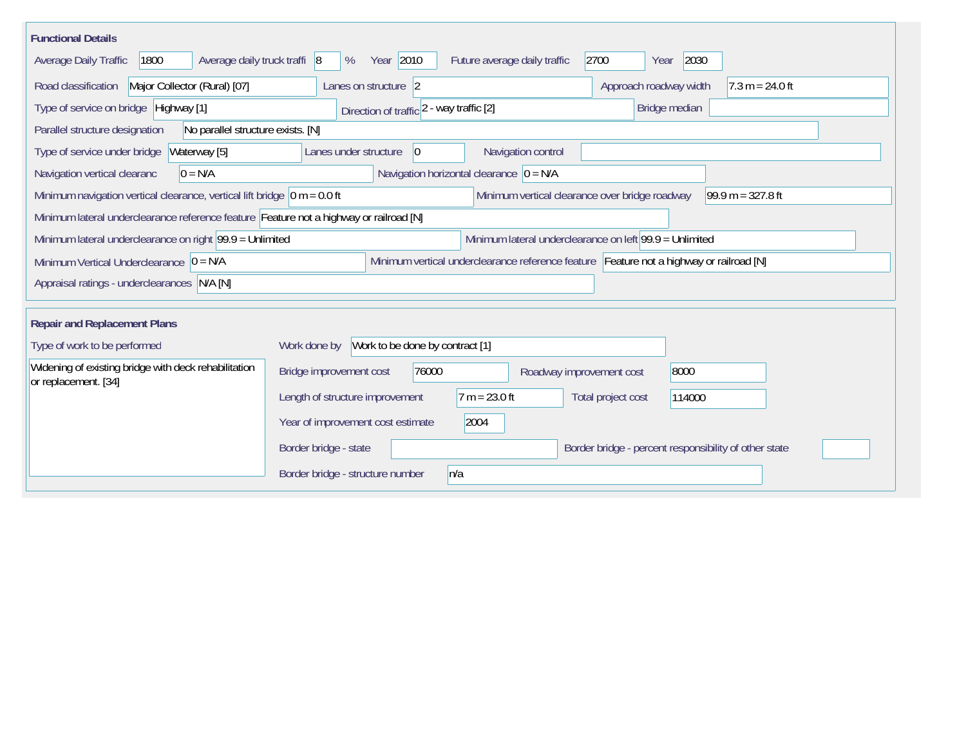| <b>Functional Details</b>                                                              |                                                                                         |  |  |  |  |  |
|----------------------------------------------------------------------------------------|-----------------------------------------------------------------------------------------|--|--|--|--|--|
| 1800<br>Average daily truck traffi 8<br>Average Daily Traffic                          | Year 2010<br>2700<br>2030<br>Future average daily traffic<br>%<br>Year                  |  |  |  |  |  |
| Major Collector (Rural) [07]<br>Road classification                                    | Approach roadway width<br>$7.3 m = 24.0 ft$<br>Lanes on structure 2                     |  |  |  |  |  |
| Type of service on bridge Highway [1]                                                  | Bridge median<br>Direction of traffic 2 - way traffic [2]                               |  |  |  |  |  |
| No parallel structure exists. [N]<br>Parallel structure designation                    |                                                                                         |  |  |  |  |  |
| Type of service under bridge<br>Waterway [5]                                           | Navigation control<br>Lanes under structure<br>$\overline{0}$                           |  |  |  |  |  |
| $0 = N/A$<br>Navigation vertical clearanc                                              | Navigation horizontal clearance $ 0 = N/A$                                              |  |  |  |  |  |
| Minimum navigation vertical clearance, vertical lift bridge $\vert$ 0 m = 0.0 ft       | Minimum vertical clearance over bridge roadway<br>$99.9 m = 327.8 ft$                   |  |  |  |  |  |
| Minimum lateral underclearance reference feature Feature not a highway or railroad [N] |                                                                                         |  |  |  |  |  |
| Minimum lateral underclearance on right $99.9 =$ Unlimited                             | Minimum lateral underclearance on left 99.9 = Unlimited                                 |  |  |  |  |  |
| Minimum Vertical Underclearance $ 0 = N/A$                                             | Minimum vertical underclearance reference feature Feature not a highway or railroad [N] |  |  |  |  |  |
| Appraisal ratings - underclearances N/A [N]                                            |                                                                                         |  |  |  |  |  |
|                                                                                        |                                                                                         |  |  |  |  |  |
| <b>Repair and Replacement Plans</b>                                                    |                                                                                         |  |  |  |  |  |
| Type of work to be performed                                                           | Work to be done by contract [1]<br>Work done by                                         |  |  |  |  |  |
| Widening of existing bridge with deck rehabilitation<br>or replacement. [34]           | 76000<br>8000<br>Bridge improvement cost<br>Roadway improvement cost                    |  |  |  |  |  |
|                                                                                        | $7 m = 23.0 ft$<br>Length of structure improvement<br>Total project cost<br>114000      |  |  |  |  |  |
|                                                                                        | 2004<br>Year of improvement cost estimate                                               |  |  |  |  |  |
|                                                                                        | Border bridge - state<br>Border bridge - percent responsibility of other state          |  |  |  |  |  |
|                                                                                        | Border bridge - structure number<br>n/a                                                 |  |  |  |  |  |